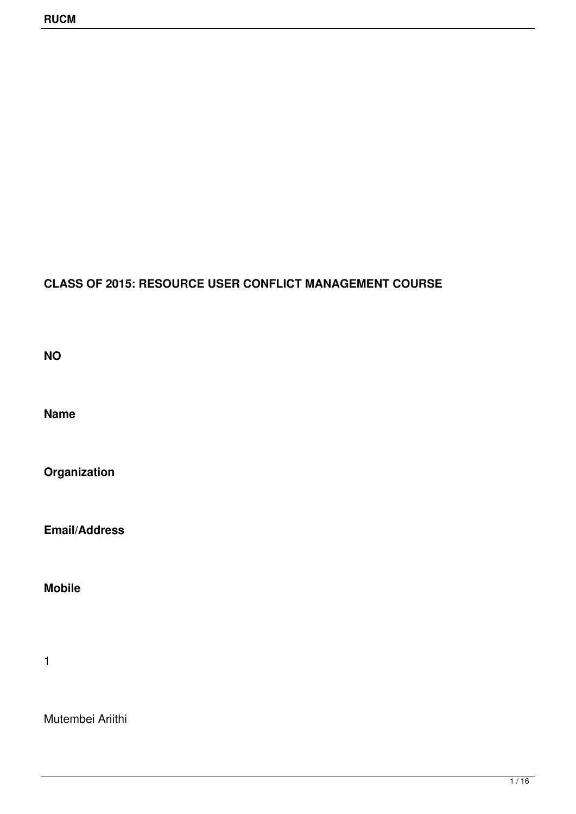## **CLASS OF 2015: RESOURCE USER CONFLICT MANAGEMENT COURSE**

**NO**

**Name**

**Organization**

**Email/Address** 

**Mobile**

1

Mutembei Ariithi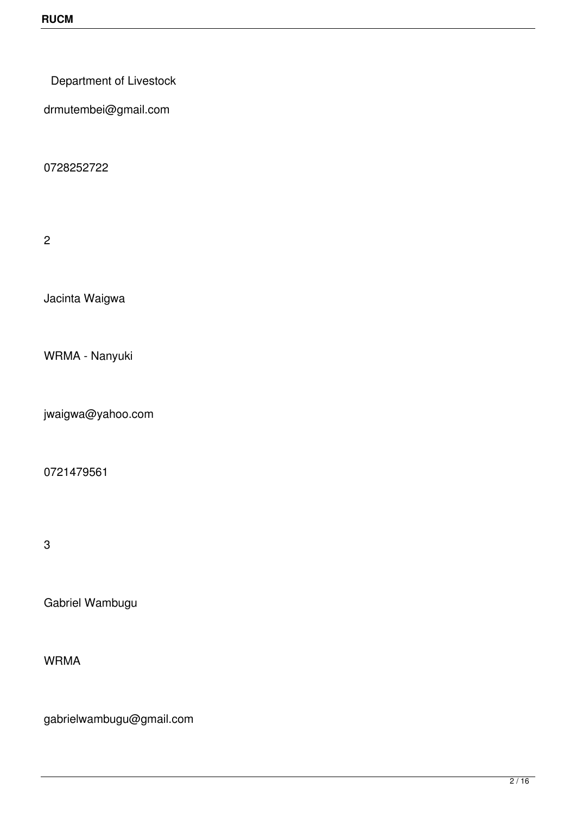Department of Livestock

drmutembei@gmail.com

0728252722

2

Jacinta Waigwa

WRMA - Nanyuki

jwaigwa@yahoo.com

0721479561

3

Gabriel Wambugu

WRMA

gabrielwambugu@gmail.com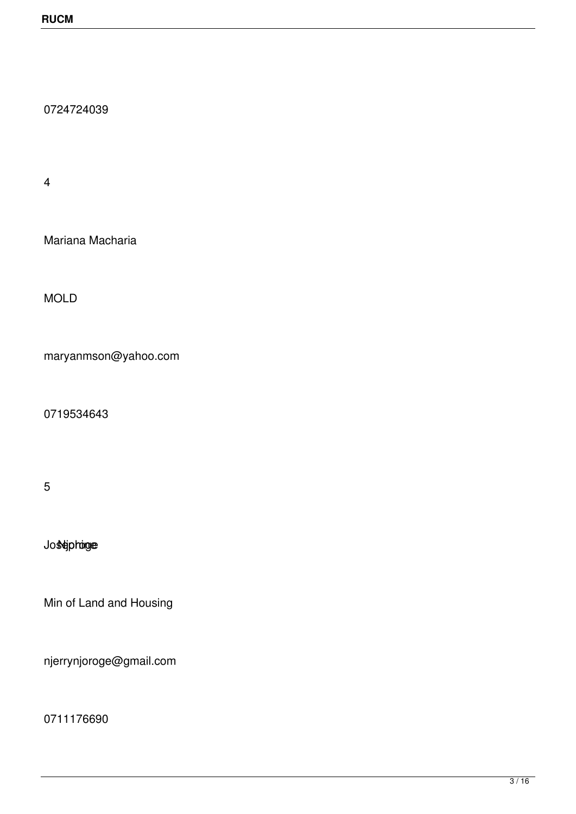0724724039

4

Mariana Macharia

MOLD

maryanmson@yahoo.com

0719534643

5

Josephinge

Min of Land and Housing

njerrynjoroge@gmail.com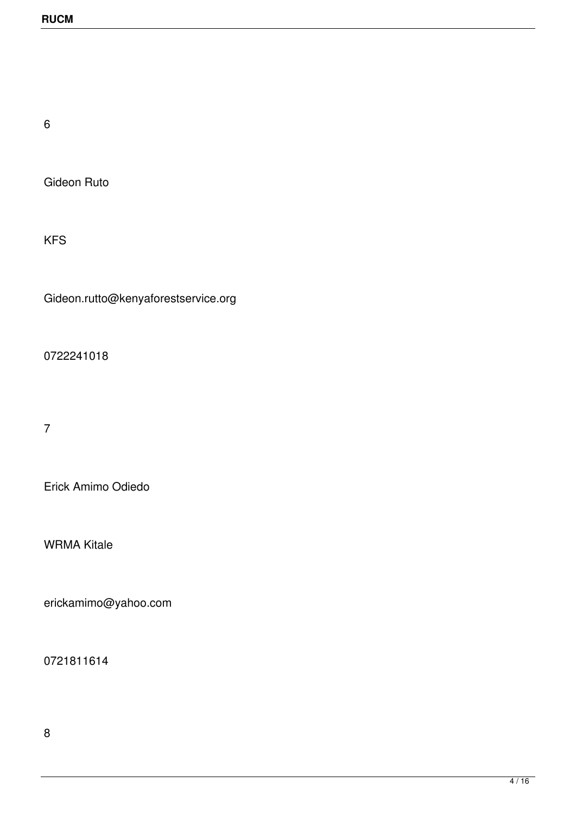6

Gideon Ruto

KFS

Gideon.rutto@kenyaforestservice.org

0722241018

7

Erick Amimo Odiedo

WRMA Kitale

erickamimo@yahoo.com

0721811614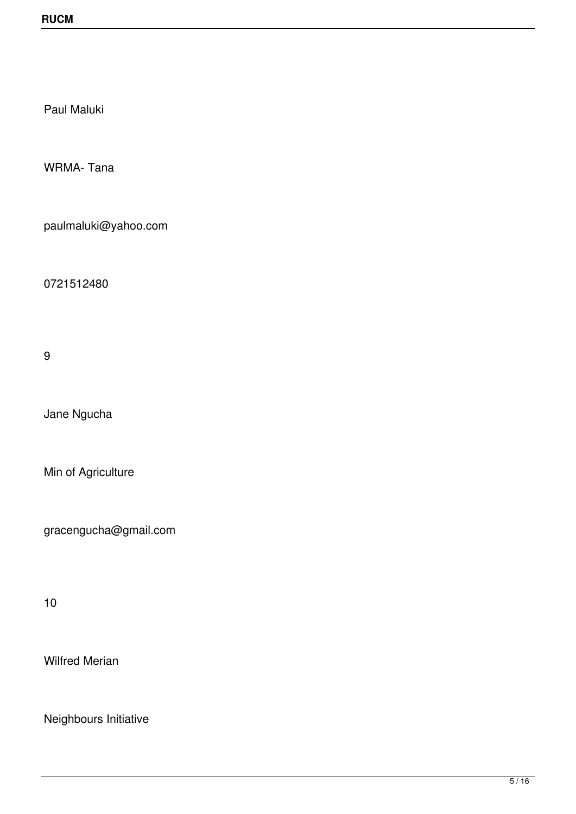Paul Maluki

WRMA- Tana

paulmaluki@yahoo.com

0721512480

9

Jane Ngucha

Min of Agriculture

gracengucha@gmail.com

10

Wilfred Merian

Neighbours Initiative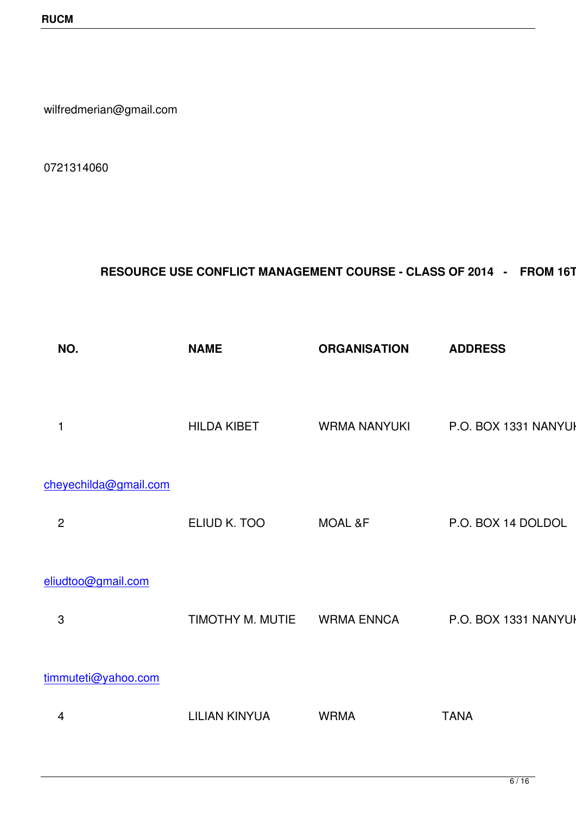wilfredmerian@gmail.com

0721314060

## RESOURCE USE CONFLICT MANAGEMENT COURSE - CLASS OF 2014 - FROM 16TH -

| NO.                   | <b>NAME</b>          | <b>ORGANISATION</b> | <b>ADDRESS</b><br><b>TE</b>  |
|-----------------------|----------------------|---------------------|------------------------------|
| 1                     | <b>HILDA KIBET</b>   | <b>WRMA NANYUKI</b> | P.O. BOX 1331 NANYUKI<br>072 |
| cheyechilda@gmail.com |                      |                     |                              |
| $\overline{c}$        | ELIUD K. TOO         | <b>MOAL &amp;F</b>  | P.O. BOX 14 DOLDOL<br>072    |
| eliudtoo@gmail.com    |                      |                     |                              |
| 3                     | TIMOTHY M. MUTIE     | <b>WRMA ENNCA</b>   | P.O. BOX 1331 NANYUKI<br>072 |
| timmuteti@yahoo.com   |                      |                     |                              |
| 4                     | <b>LILIAN KINYUA</b> | <b>WRMA</b>         | <b>TANA</b>                  |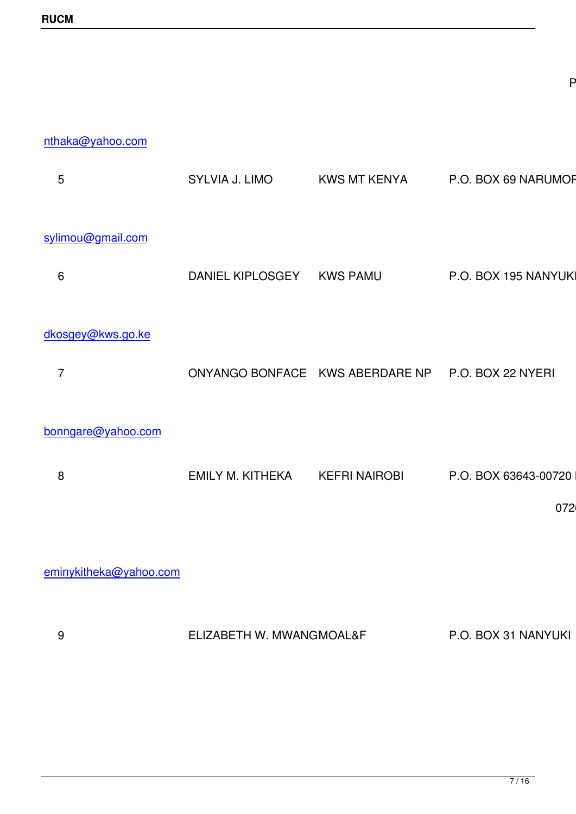nthaka@yahoo.com

| 5                      | SYLVIA J. LIMO                  | <b>KWS MT KENYA</b>  | P.O. BOX 69 NARUMORU    | 072   |
|------------------------|---------------------------------|----------------------|-------------------------|-------|
| sylimou@gmail.com      |                                 |                      |                         |       |
| 6                      | <b>DANIEL KIPLOSGEY</b>         | <b>KWS PAMU</b>      | P.O. BOX 195 NANYUKI    | 072   |
| dkosgey@kws.go.ke      |                                 |                      |                         |       |
| $\overline{7}$         | ONYANGO BONFACE KWS ABERDARE NP |                      | P.O. BOX 22 NYERI       | 072   |
| bonngare@yahoo.com     |                                 |                      |                         |       |
| 8                      | <b>EMILY M. KITHEKA</b>         | <b>KEFRI NAIROBI</b> | P.O. BOX 63643-00720 NA |       |
|                        |                                 |                      |                         | 07263 |
| eminykitheka@yahoo.com |                                 |                      |                         |       |
| 9                      | ELIZABETH W. MWANGMOAL&F        |                      | P.O. BOX 31 NANYUKI     |       |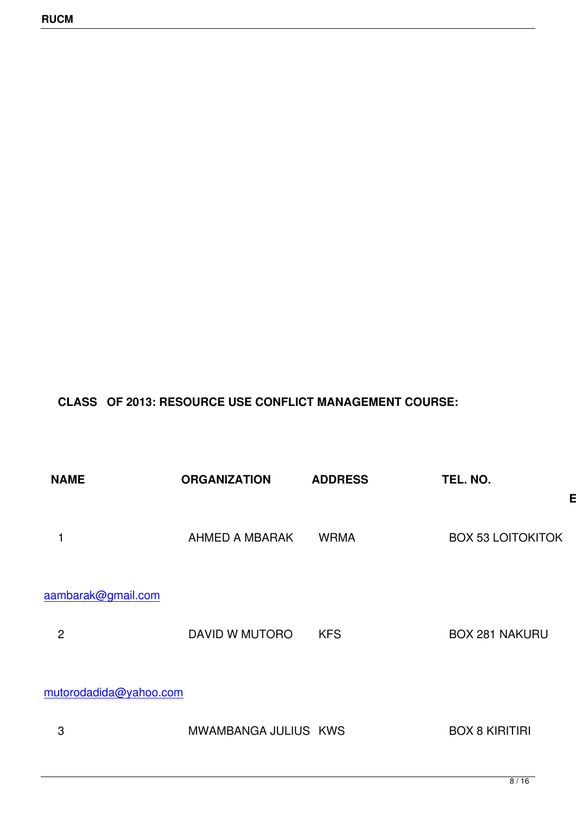## **CLASS OF 2013: RESOURCE USE CONFLICT MANAGEMENT COURSE:**

| <b>NAME</b>                          | <b>ORGANIZATION</b>   | <b>ADDRESS</b> | TEL. NO.                 |                               |
|--------------------------------------|-----------------------|----------------|--------------------------|-------------------------------|
| 1                                    | <b>AHMED A MBARAK</b> | <b>WRMA</b>    | <b>BOX 53 LOITOKITOK</b> | <b>EMA</b><br>72 <sup>1</sup> |
| aambarak@gmail.com<br>$\overline{2}$ | DAVID W MUTORO        | <b>KFS</b>     | <b>BOX 281 NAKURU</b>    | 720                           |
| mutorodadida@yahoo.com               |                       |                |                          |                               |
| 3                                    | MWAMBANGA JULIUS KWS  |                | <b>BOX 8 KIRITIRI</b>    |                               |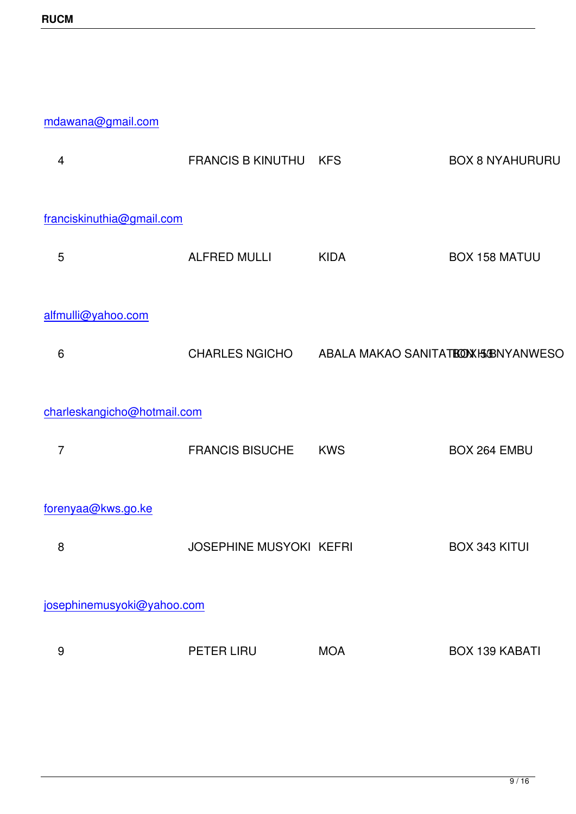## mdawana@gmail.com

| 4                           | <b>FRANCIS B KINUTHU</b>       | <b>KFS</b>                                        | <b>BOX 8 NYAHURURU</b> | 708             |  |  |
|-----------------------------|--------------------------------|---------------------------------------------------|------------------------|-----------------|--|--|
| franciskinuthia@gmail.com   |                                |                                                   |                        |                 |  |  |
| 5                           | <b>ALFRED MULLI</b>            | <b>KIDA</b>                                       | <b>BOX 158 MATUU</b>   | 733             |  |  |
| alfmulli@yahoo.com          |                                |                                                   |                        |                 |  |  |
| $6\phantom{1}6$             |                                | CHARLES NGICHO ABALA MAKAO SANITATE O WHONYANWESO |                        | 72              |  |  |
| charleskangicho@hotmail.com |                                |                                                   |                        |                 |  |  |
| 7                           | <b>FRANCIS BISUCHE</b>         | <b>KWS</b>                                        | BOX 264 EMBU           | 720             |  |  |
| forenyaa@kws.go.ke          |                                |                                                   |                        |                 |  |  |
| 8                           | <b>JOSEPHINE MUSYOKI KEFRI</b> |                                                   | <b>BOX 343 KITUI</b>   | 722             |  |  |
| josephinemusyoki@yahoo.com  |                                |                                                   |                        |                 |  |  |
| 9                           | PETER LIRU                     | <b>MOA</b>                                        | <b>BOX 139 KABATI</b>  |                 |  |  |
|                             |                                |                                                   |                        | 70 <sup>1</sup> |  |  |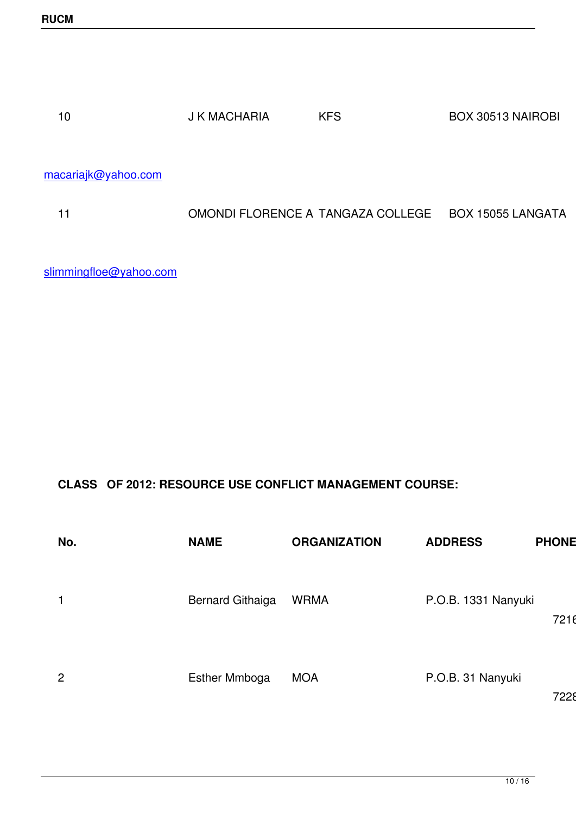| J K MACHARIA | <b>KFS</b> | BOX 30513 NAIROBI |    |
|--------------|------------|-------------------|----|
|              |            |                   | 72 |

macariajk@yahoo.com

|  | OMONDI FLORENCE A TANGAZA COLLEGE BOX 15055 LANGATA |    |
|--|-----------------------------------------------------|----|
|  |                                                     | 72 |

slimmingfloe@yahoo.com

**CLASS OF 2012: RESOURCE USE CONFLICT MANAGEMENT COURSE:**

| No.            | <b>NAME</b>             | <b>ORGANIZATION</b> | <b>ADDRESS</b>      | <b>PHONE NO</b> |
|----------------|-------------------------|---------------------|---------------------|-----------------|
|                | <b>Bernard Githaiga</b> | <b>WRMA</b>         | P.O.B. 1331 Nanyuki | 721623          |
| $\overline{2}$ | <b>Esther Mmboga</b>    | <b>MOA</b>          | P.O.B. 31 Nanyuki   | 722805          |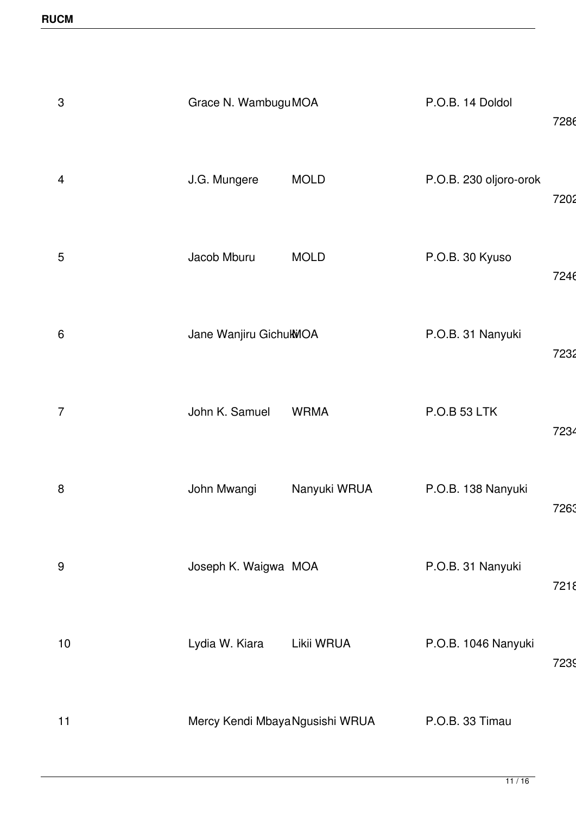| 3               | Grace N. Wambugu MOA            |              | P.O.B. 14 Doldol       | 7286 |
|-----------------|---------------------------------|--------------|------------------------|------|
| 4               | J.G. Mungere                    | <b>MOLD</b>  | P.O.B. 230 oljoro-orok | 7202 |
| 5               | Jacob Mburu                     | <b>MOLD</b>  | P.O.B. 30 Kyuso        | 7246 |
| $6\phantom{1}6$ | Jane Wanjiru GichukWOA          |              | P.O.B. 31 Nanyuki      | 7232 |
| $\overline{7}$  | John K. Samuel                  | <b>WRMA</b>  | <b>P.O.B 53 LTK</b>    | 7234 |
| $\,8\,$         | John Mwangi                     | Nanyuki WRUA | P.O.B. 138 Nanyuki     | 7263 |
| 9               | Joseph K. Waigwa MOA            |              | P.O.B. 31 Nanyuki      | 7218 |
| 10              | Lydia W. Kiara                  | Likii WRUA   | P.O.B. 1046 Nanyuki    | 7239 |
| 11              | Mercy Kendi Mbaya Ngusishi WRUA |              | P.O.B. 33 Timau        |      |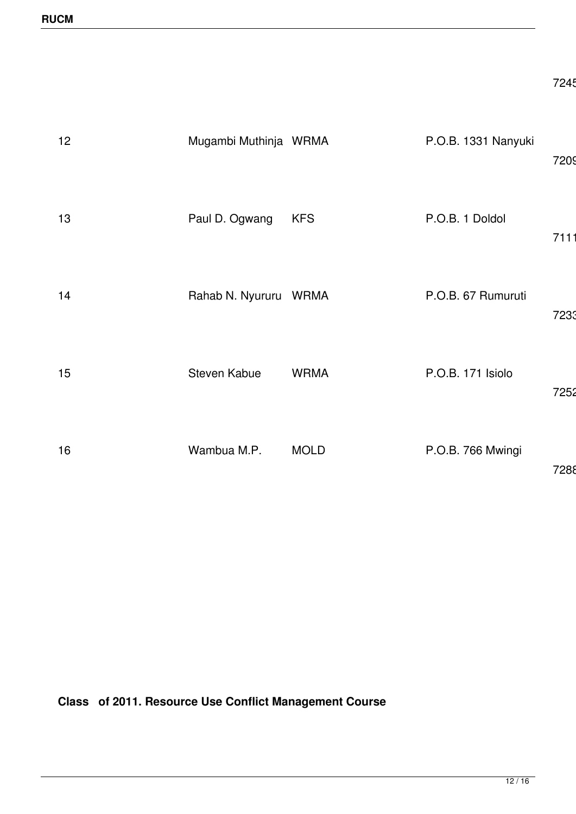| 12 | Mugambi Muthinja WRMA |             | P.O.B. 1331 Nanyuki | 7209 |
|----|-----------------------|-------------|---------------------|------|
| 13 | Paul D. Ogwang        | <b>KFS</b>  | P.O.B. 1 Doldol     | 7111 |
| 14 | Rahab N. Nyururu WRMA |             | P.O.B. 67 Rumuruti  | 7233 |
| 15 | Steven Kabue          | <b>WRMA</b> | P.O.B. 171 Isiolo   | 7252 |
| 16 | Wambua M.P.           | <b>MOLD</b> | P.O.B. 766 Mwingi   | 7288 |

**Class of 2011. Resource Use Conflict Management Course**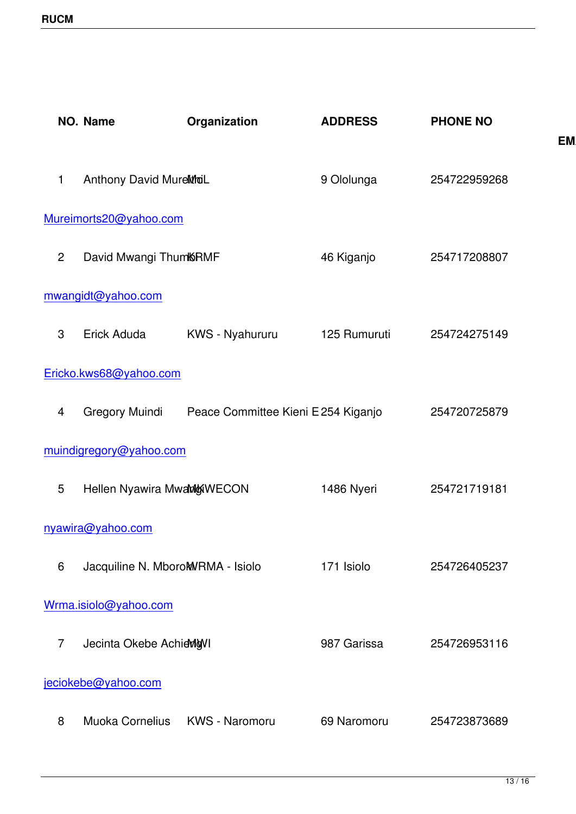|                | <b>NO. Name</b>                   | Organization                        | <b>ADDRESS</b> | <b>PHONE NO</b> |              |
|----------------|-----------------------------------|-------------------------------------|----------------|-----------------|--------------|
|                |                                   |                                     |                |                 | <b>EMAIL</b> |
| 1              | Anthony David MurelitionL         |                                     | 9 Ololunga     | 254722959268    |              |
|                | Mureimorts20@yahoo.com            |                                     |                |                 |              |
| $\overline{2}$ | David Mwangi ThumKRMF             |                                     | 46 Kiganjo     | 254717208807    |              |
|                | mwangidt@yahoo.com                |                                     |                |                 |              |
| 3              | Erick Aduda                       | KWS - Nyahururu                     | 125 Rumuruti   | 254724275149    |              |
|                | Ericko.kws68@yahoo.com            |                                     |                |                 |              |
| 4              | <b>Gregory Muindi</b>             | Peace Committee Kieni E 254 Kiganjo |                | 254720725879    |              |
|                | muindigregory@yahoo.com           |                                     |                |                 |              |
| 5              | Hellen Nyawira MwamwwECON         |                                     | 1486 Nyeri     | 254721719181    |              |
|                | nyawira@yahoo.com                 |                                     |                |                 |              |
| 6              | Jacquiline N. MboroMWRMA - Isiolo |                                     | 171 Isiolo     | 254726405237    |              |
|                | Wrma.isiolo@yahoo.com             |                                     |                |                 |              |
| $\overline{7}$ | Jecinta Okebe AchievigVI          |                                     | 987 Garissa    | 254726953116    |              |
|                | jeciokebe@yahoo.com               |                                     |                |                 |              |
| 8              | <b>Muoka Cornelius</b>            | KWS - Naromoru                      | 69 Naromoru    | 254723873689    |              |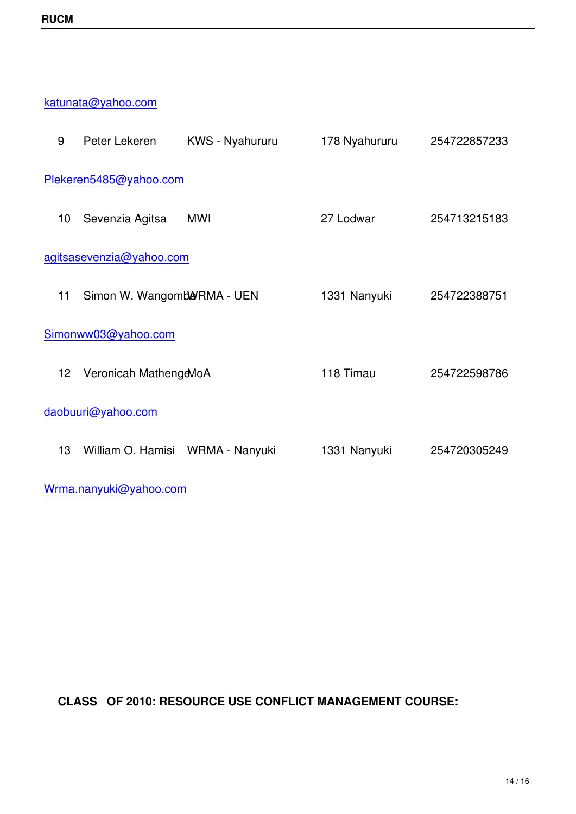katunata@yahoo.com

| 9  | Peter Lekeren              | <b>KWS</b> - Nyahururu           | 178 Nyahururu | 254722857233 |
|----|----------------------------|----------------------------------|---------------|--------------|
|    | Plekeren5485@yahoo.com     |                                  |               |              |
| 10 | Sevenzia Agitsa            | MWI                              | 27 Lodwar     | 254713215183 |
|    | agitsasevenzia@yahoo.com   |                                  |               |              |
| 11 | Simon W. Wangomb&RMA - UEN |                                  | 1331 Nanyuki  | 254722388751 |
|    | Simonww03@yahoo.com        |                                  |               |              |
| 12 | Veronicah MathengeMoA      |                                  | 118 Timau     | 254722598786 |
|    | daobuuri@yahoo.com         |                                  |               |              |
| 13 |                            | William O. Hamisi WRMA - Nanyuki | 1331 Nanyuki  | 254720305249 |
|    |                            |                                  |               |              |

Wrma.nanyuki@yahoo.com

**CLASS OF 2010: RESOURCE USE CONFLICT MANAGEMENT COURSE:**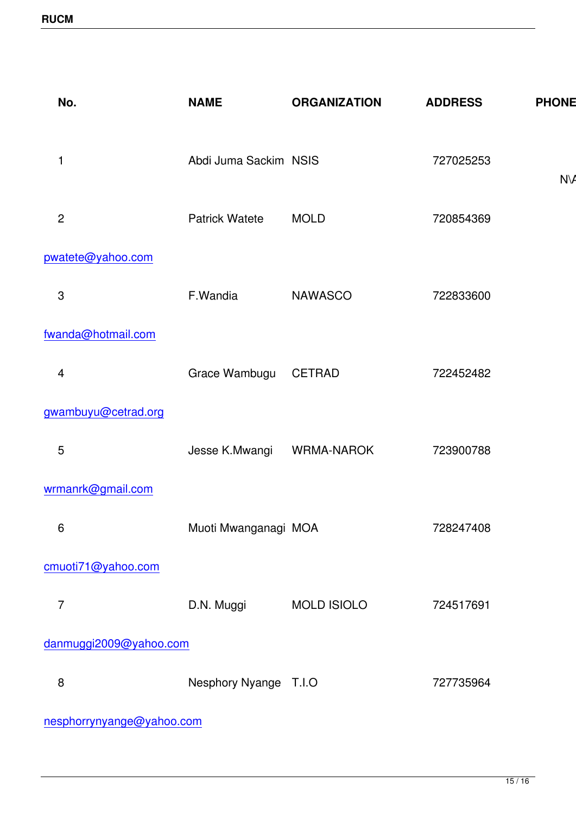| No.                       | <b>NAME</b>           | <b>ORGANIZATION</b> | <b>ADDRESS</b> | <b>PHONE NO</b> |
|---------------------------|-----------------------|---------------------|----------------|-----------------|
| 1                         | Abdi Juma Sackim NSIS |                     | 727025253      | $N\setminus A$  |
| $\mathbf{2}$              | <b>Patrick Watete</b> | <b>MOLD</b>         | 720854369      |                 |
| pwatete@yahoo.com         |                       |                     |                |                 |
| $\ensuremath{\mathsf{3}}$ | F.Wandia              | <b>NAWASCO</b>      | 722833600      |                 |
| fwanda@hotmail.com        |                       |                     |                |                 |
| 4                         | Grace Wambugu         | <b>CETRAD</b>       | 722452482      |                 |
| gwambuyu@cetrad.org       |                       |                     |                |                 |
| 5                         | Jesse K.Mwangi        | <b>WRMA-NAROK</b>   | 723900788      |                 |
| wrmanrk@gmail.com         |                       |                     |                |                 |
| $\,6$                     | Muoti Mwanganagi MOA  |                     | 728247408      |                 |
| cmuoti71@yahoo.com        |                       |                     |                |                 |
| $\overline{7}$            | D.N. Muggi            | <b>MOLD ISIOLO</b>  | 724517691      |                 |
| danmuggi2009@yahoo.com    |                       |                     |                |                 |
| 8                         | Nesphory Nyange T.I.O |                     | 727735964      |                 |

nesphorrynyange@yahoo.com